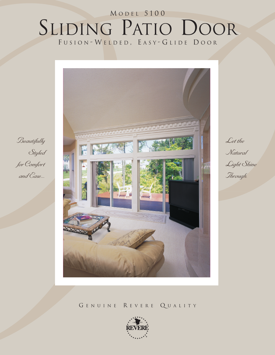# M O D E L 5 1 0 0 SLIDING PATIO DOOR F U S I O N - W E L D E D , E A S Y - G L I D E D O O R



*Let the Natural LightShine Through.*

*Beautifully Styled for Comfort and Ease...*

GENUINE REVERE QUALITY